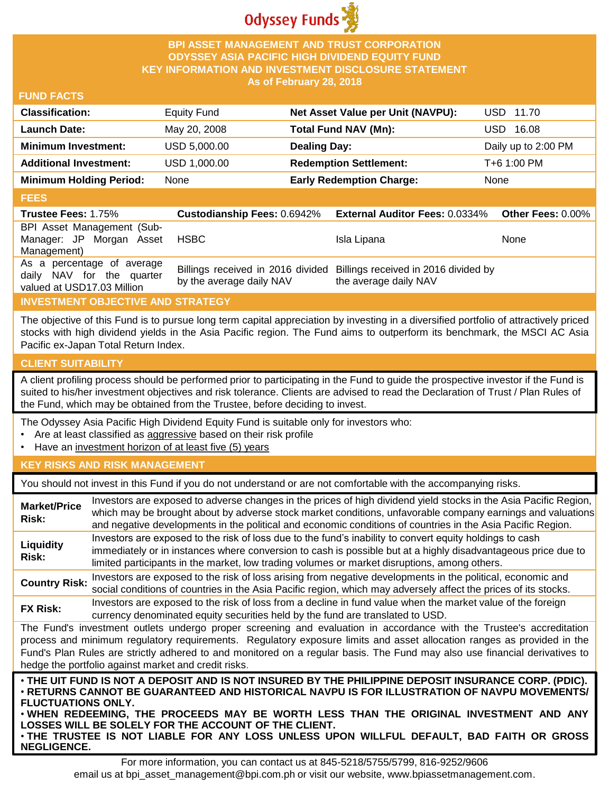

#### **BPI ASSET MANAGEMENT AND TRUST CORPORATION ODYSSEY ASIA PACIFIC HIGH DIVIDEND EQUITY FUND KEY INFORMATION AND INVESTMENT DISCLOSURE STATEMENT As of February 28, 2018**

#### **FUND FACTS**

| <b>Classification:</b>         | Equity Fund  | Net Asset Value per Unit (NAVPU): | USD 11.70           |
|--------------------------------|--------------|-----------------------------------|---------------------|
| <b>Launch Date:</b>            | May 20, 2008 | Total Fund NAV (Mn):              | 16.08<br>USD-       |
| <b>Minimum Investment:</b>     | USD 5,000.00 | <b>Dealing Day:</b>               | Daily up to 2:00 PM |
| <b>Additional Investment:</b>  | USD 1,000.00 | <b>Redemption Settlement:</b>     | T+6 1:00 PM         |
| <b>Minimum Holding Period:</b> | None         | <b>Early Redemption Charge:</b>   | None                |

#### **FEES**

| ----                                                                                  |                                    |                                                                                                 |                   |
|---------------------------------------------------------------------------------------|------------------------------------|-------------------------------------------------------------------------------------------------|-------------------|
| <b>Trustee Fees: 1.75%</b>                                                            | <b>Custodianship Fees: 0.6942%</b> | <b>External Auditor Fees: 0.0334%</b>                                                           | Other Fees: 0.00% |
| BPI Asset Management (Sub-<br>Manager: JP Morgan Asset<br>Management)                 | <b>HSBC</b>                        | Isla Lipana                                                                                     | <b>None</b>       |
| As a percentage of average<br>daily NAV for the quarter<br>valued at USD17.03 Million | by the average daily NAV           | Billings received in 2016 divided Billings received in 2016 divided by<br>the average daily NAV |                   |

## **INVESTMENT OBJECTIVE AND STRATEGY**

The objective of this Fund is to pursue long term capital appreciation by investing in a diversified portfolio of attractively priced stocks with high dividend yields in the Asia Pacific region. The Fund aims to outperform its benchmark, the MSCI AC Asia Pacific ex-Japan Total Return Index.

## **CLIENT SUITABILITY**

**NEGLIGENCE.**

A client profiling process should be performed prior to participating in the Fund to guide the prospective investor if the Fund is suited to his/her investment objectives and risk tolerance. Clients are advised to read the Declaration of Trust / Plan Rules of the Fund, which may be obtained from the Trustee, before deciding to invest.

The Odyssey Asia Pacific High Dividend Equity Fund is suitable only for investors who:

- Are at least classified as aggressive based on their risk profile
- Have an investment horizon of at least five (5) years

## **KEY RISKS AND RISK MANAGEMENT**

You should not invest in this Fund if you do not understand or are not comfortable with the accompanying risks.

| <b>Market/Price</b><br>Risk: | Investors are exposed to adverse changes in the prices of high dividend yield stocks in the Asia Pacific Region,<br>which may be brought about by adverse stock market conditions, unfavorable company earnings and valuations<br>and negative developments in the political and economic conditions of countries in the Asia Pacific Region.                                                                                                    |
|------------------------------|--------------------------------------------------------------------------------------------------------------------------------------------------------------------------------------------------------------------------------------------------------------------------------------------------------------------------------------------------------------------------------------------------------------------------------------------------|
| Liquidity<br>Risk:           | Investors are exposed to the risk of loss due to the fund's inability to convert equity holdings to cash<br>immediately or in instances where conversion to cash is possible but at a highly disadvantageous price due to<br>limited participants in the market, low trading volumes or market disruptions, among others.                                                                                                                        |
| <b>Country Risk:</b>         | Investors are exposed to the risk of loss arising from negative developments in the political, economic and<br>social conditions of countries in the Asia Pacific region, which may adversely affect the prices of its stocks.                                                                                                                                                                                                                   |
| <b>FX Risk:</b>              | Investors are exposed to the risk of loss from a decline in fund value when the market value of the foreign<br>currency denominated equity securities held by the fund are translated to USD.                                                                                                                                                                                                                                                    |
|                              | The Fund's investment outlets undergo proper screening and evaluation in accordance with the Trustee's accreditation<br>process and minimum regulatory requirements. Regulatory exposure limits and asset allocation ranges as provided in the<br>Fund's Plan Rules are strictly adhered to and monitored on a regular basis. The Fund may also use financial derivatives to<br>hedge the portfolio against market and credit risks.             |
| <b>FLUCTUATIONS ONLY.</b>    | . THE UIT FUND IS NOT A DEPOSIT AND IS NOT INSURED BY THE PHILIPPINE DEPOSIT INSURANCE CORP. (PDIC).<br>· RETURNS CANNOT BE GUARANTEED AND HISTORICAL NAVPU IS FOR ILLUSTRATION OF NAVPU MOVEMENTS/<br>. WHEN REDEEMING, THE PROCEEDS MAY BE WORTH LESS THAN THE ORIGINAL INVESTMENT AND ANY<br>LOSSES WILL BE SOLELY FOR THE ACCOUNT OF THE CLIENT.<br>. THE TRUSTEE IS NOT LIABLE FOR ANY LOSS UNLESS UPON WILLFUL DEFAULT, BAD FAITH OR GROSS |

For more information, you can contact us at 845-5218/5755/5799, 816-9252/9606 email us at bpi\_asset\_management@bpi.com.ph or visit our website, www.bpiassetmanagement.com.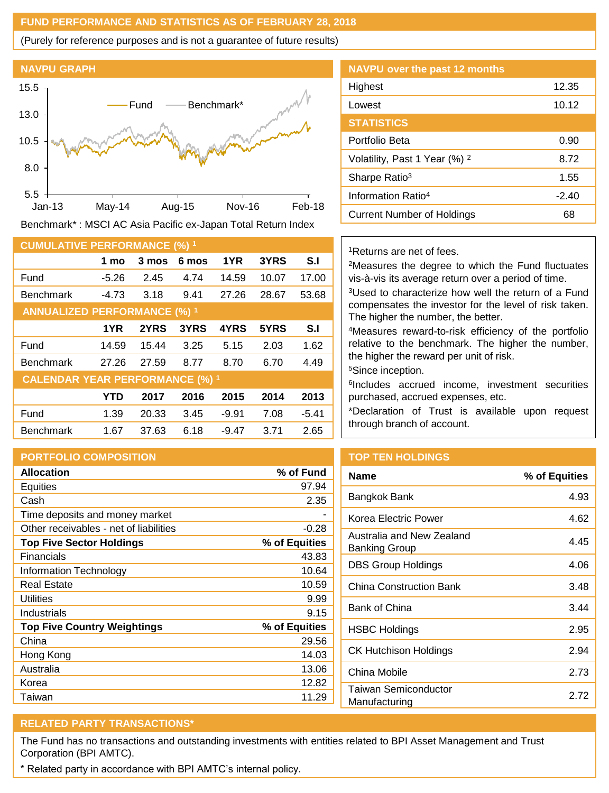#### **FUND PERFORMANCE AND STATISTICS AS OF FEBRUARY 28, 2018**

(Purely for reference purposes and is not a guarantee of future results)



Benchmark\* : MSCI AC Asia Pacific ex-Japan Total Return Index

| <b>CUMULATIVE PERFORMANCE (%) 1</b>    |            |       |       |         |       |         |
|----------------------------------------|------------|-------|-------|---------|-------|---------|
|                                        | 1 mo       | 3 mos | 6 mos | 1YR     | 3YRS  | S.I     |
| Fund                                   | $-5.26$    | 2.45  | 4.74  | 14.59   | 10.07 | 17.00   |
| <b>Benchmark</b>                       | $-4.73$    | 3.18  | 9.41  | 27.26   | 28.67 | 53.68   |
| <b>ANNUALIZED PERFORMANCE (%) 1</b>    |            |       |       |         |       |         |
|                                        | 1YR        | 2YRS  | 3YRS  | 4YRS    | 5YRS  | S.I     |
| Fund                                   | 14.59      | 15.44 | 3.25  | 5.15    | 2.03  | 1.62    |
| <b>Benchmark</b>                       | 27.26      | 27.59 | 8.77  | 8.70    | 6.70  | 4.49    |
| <b>CALENDAR YEAR PERFORMANCE (%) 1</b> |            |       |       |         |       |         |
|                                        | <b>YTD</b> | 2017  | 2016  | 2015    | 2014  | 2013    |
| Fund                                   | 1.39       | 20.33 | 3.45  | $-9.91$ | 7.08  | $-5.41$ |
| <b>Benchmark</b>                       | 1.67       | 37.63 | 6.18  | $-9.47$ | 3.71  | 2.65    |

## **PORTFOLIO COMPOSITION**

| <b>Allocation</b>                      | % of Fund     |
|----------------------------------------|---------------|
| Equities                               | 97.94         |
| Cash                                   | 2.35          |
| Time deposits and money market         |               |
| Other receivables - net of liabilities | $-0.28$       |
| <b>Top Five Sector Holdings</b>        | % of Equities |
| Financials                             | 43.83         |
| Information Technology                 | 10.64         |
| <b>Real Estate</b>                     | 10.59         |
| Utilities                              | 9.99          |
| Industrials                            | 9.15          |
| <b>Top Five Country Weightings</b>     | % of Equities |
| China                                  | 29.56         |
| Hong Kong                              | 14.03         |
| Australia                              | 13.06         |
| Korea                                  | 12.82         |
| Taiwan                                 | 11.29         |

| <b>NAVPU over the past 12 months</b>     |         |
|------------------------------------------|---------|
| Highest                                  | 12.35   |
| Lowest                                   | 10.12   |
| <b>STATISTICS</b>                        |         |
| Portfolio Beta                           | 0.90    |
| Volatility, Past 1 Year (%) <sup>2</sup> | 8.72    |
| Sharpe Ratio <sup>3</sup>                | 1.55    |
| Information Ratio <sup>4</sup>           | $-2.40$ |
| Current Number of Holdings               | 68      |

#### <sup>1</sup>Returns are net of fees.

<sup>2</sup>Measures the degree to which the Fund fluctuates vis-à-vis its average return over a period of time.

<sup>3</sup>Used to characterize how well the return of a Fund compensates the investor for the level of risk taken. The higher the number, the better.

<sup>4</sup>Measures reward-to-risk efficiency of the portfolio relative to the benchmark. The higher the number, the higher the reward per unit of risk.

<sup>5</sup>Since inception.

6 Includes accrued income, investment securities purchased, accrued expenses, etc.

\*Declaration of Trust is available upon request through branch of account.

# **TOP TEN HOLDINGS**

| <b>Name</b>                                | % of Equities |
|--------------------------------------------|---------------|
| Bangkok Bank                               | 4.93          |
| Korea Electric Power                       | 4.62          |
| Australia and New Zealand<br>Banking Group | 4.45          |
| <b>DBS Group Holdings</b>                  | 4.06          |
| China Construction Bank                    | 3.48          |
| <b>Bank of China</b>                       | 3.44          |
| <b>HSBC Holdings</b>                       | 2.95          |
| <b>CK Hutchison Holdings</b>               | 2.94          |
| China Mobile                               | 2.73          |
| Taiwan Semiconductor<br>Manufacturing      | 2 72          |

# **RELATED PARTY TRANSACTIONS\***

The Fund has no transactions and outstanding investments with entities related to BPI Asset Management and Trust Corporation (BPI AMTC).

\* Related party in accordance with BPI AMTC's internal policy.